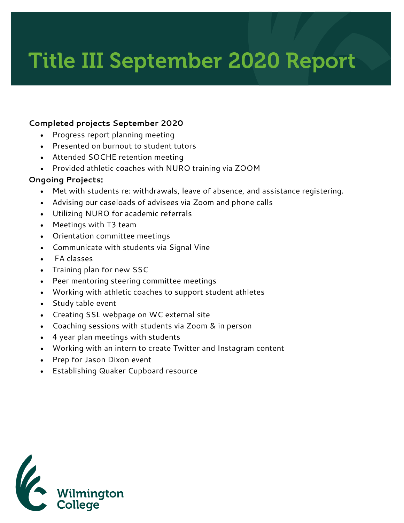## Title III September 2020 Report

## **Completed projects September 2020**

- Progress report planning meeting
- Presented on burnout to student tutors
- Attended SOCHE retention meeting
- Provided athletic coaches with NURO training via ZOOM

## **Ongoing Projects:**

- Met with students re: withdrawals, leave of absence, and assistance registering.
- Advising our caseloads of advisees via Zoom and phone calls
- Utilizing NURO for academic referrals
- Meetings with T3 team
- Orientation committee meetings
- Communicate with students via Signal Vine
- FA classes
- Training plan for new SSC
- Peer mentoring steering committee meetings
- Working with athletic coaches to support student athletes
- Study table event
- Creating SSL webpage on WC external site
- Coaching sessions with students via Zoom & in person
- 4 year plan meetings with students
- Working with an intern to create Twitter and Instagram content
- Prep for Jason Dixon event
- Establishing Quaker Cupboard resource